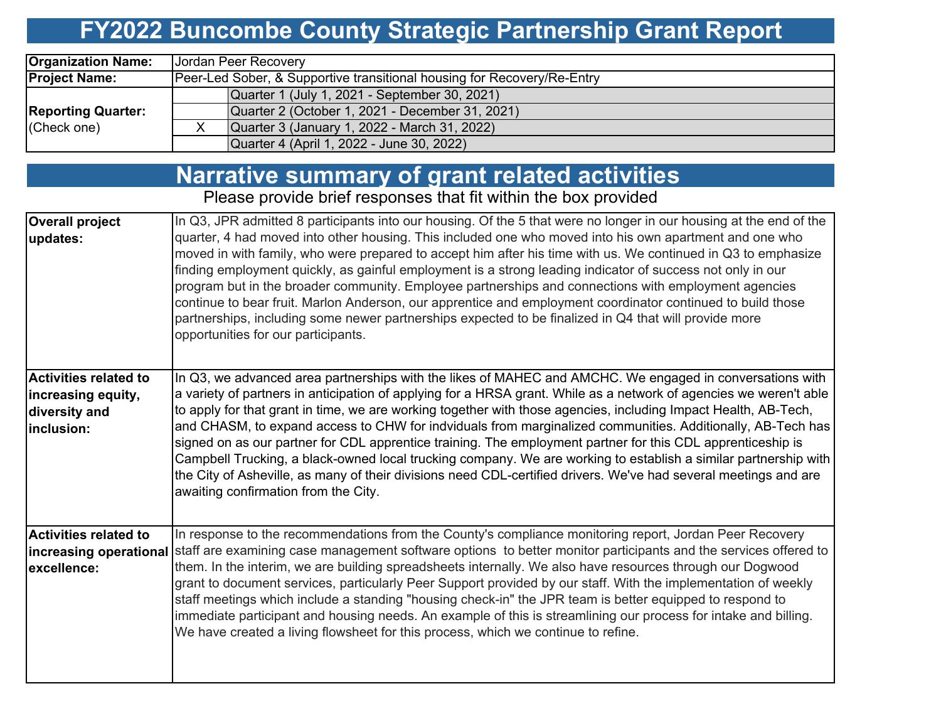# **FY2022 Buncombe County Strategic Partnership Grant Report**

| <b>Organization Name:</b>                | Jordan Peer Recovery                                                    |  |  |  |  |  |  |  |
|------------------------------------------|-------------------------------------------------------------------------|--|--|--|--|--|--|--|
| <b>Project Name:</b>                     | Peer-Led Sober, & Supportive transitional housing for Recovery/Re-Entry |  |  |  |  |  |  |  |
|                                          | Quarter 1 (July 1, 2021 - September 30, 2021)                           |  |  |  |  |  |  |  |
| <b>Reporting Quarter:</b><br>(Check one) | Quarter 2 (October 1, 2021 - December 31, 2021)                         |  |  |  |  |  |  |  |
|                                          | Quarter 3 (January 1, 2022 - March 31, 2022)                            |  |  |  |  |  |  |  |
|                                          | Quarter 4 (April 1, 2022 - June 30, 2022)                               |  |  |  |  |  |  |  |

|                                                                                   | <b>Narrative summary of grant related activities</b>                                                                                                                                                                                                                                                                                                                                                                                                                                                                                                                                                                                                                                                                                                                                                                                                          |
|-----------------------------------------------------------------------------------|---------------------------------------------------------------------------------------------------------------------------------------------------------------------------------------------------------------------------------------------------------------------------------------------------------------------------------------------------------------------------------------------------------------------------------------------------------------------------------------------------------------------------------------------------------------------------------------------------------------------------------------------------------------------------------------------------------------------------------------------------------------------------------------------------------------------------------------------------------------|
|                                                                                   | Please provide brief responses that fit within the box provided                                                                                                                                                                                                                                                                                                                                                                                                                                                                                                                                                                                                                                                                                                                                                                                               |
| <b>Overall project</b><br>updates:                                                | In Q3, JPR admitted 8 participants into our housing. Of the 5 that were no longer in our housing at the end of the<br>quarter, 4 had moved into other housing. This included one who moved into his own apartment and one who<br>moved in with family, who were prepared to accept him after his time with us. We continued in Q3 to emphasize<br>finding employment quickly, as gainful employment is a strong leading indicator of success not only in our<br>program but in the broader community. Employee partnerships and connections with employment agencies<br>continue to bear fruit. Marlon Anderson, our apprentice and employment coordinator continued to build those<br>partnerships, including some newer partnerships expected to be finalized in Q4 that will provide more<br>opportunities for our participants.                           |
| <b>Activities related to</b><br>increasing equity,<br>diversity and<br>inclusion: | In Q3, we advanced area partnerships with the likes of MAHEC and AMCHC. We engaged in conversations with<br>a variety of partners in anticipation of applying for a HRSA grant. While as a network of agencies we weren't able<br>to apply for that grant in time, we are working together with those agencies, including Impact Health, AB-Tech,<br>and CHASM, to expand access to CHW for indviduals from marginalized communities. Additionally, AB-Tech has<br>signed on as our partner for CDL apprentice training. The employment partner for this CDL apprenticeship is<br>Campbell Trucking, a black-owned local trucking company. We are working to establish a similar partnership with<br>the City of Asheville, as many of their divisions need CDL-certified drivers. We've had several meetings and are<br>awaiting confirmation from the City. |
| <b>Activities related to</b><br>excellence:                                       | In response to the recommendations from the County's compliance monitoring report, Jordan Peer Recovery<br>increasing operational staff are examining case management software options to better monitor participants and the services offered to<br>them. In the interim, we are building spreadsheets internally. We also have resources through our Dogwood<br>grant to document services, particularly Peer Support provided by our staff. With the implementation of weekly<br>staff meetings which include a standing "housing check-in" the JPR team is better equipped to respond to<br>immediate participant and housing needs. An example of this is streamlining our process for intake and billing.<br>We have created a living flowsheet for this process, which we continue to refine.                                                          |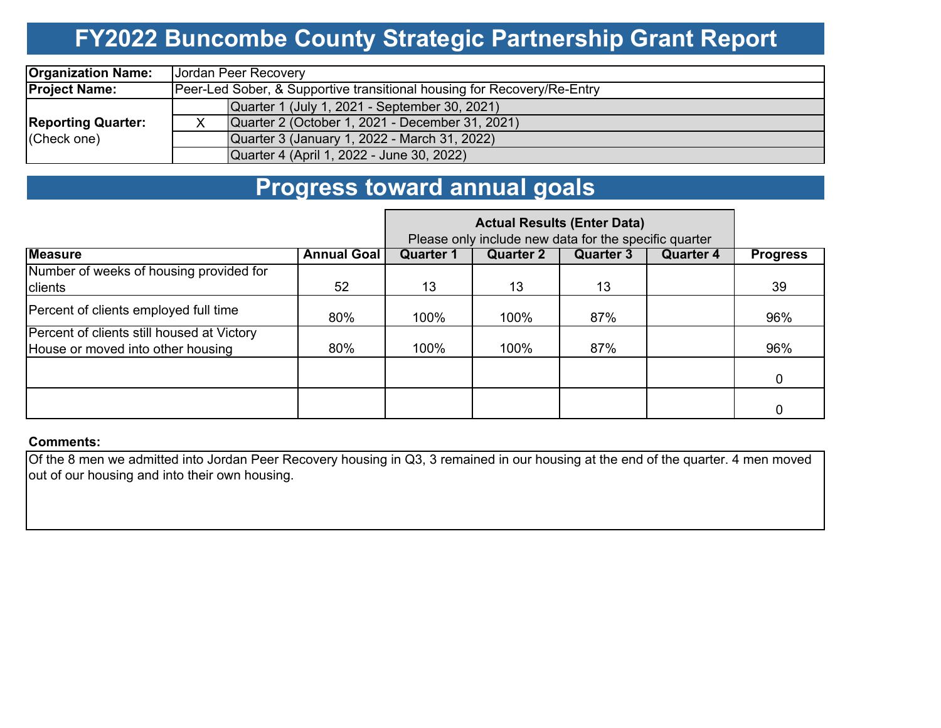## **FY2022 Buncombe County Strategic Partnership Grant Report**

| <b>Organization Name:</b> | Jordan Peer Recovery                                                    |  |  |  |  |  |  |  |
|---------------------------|-------------------------------------------------------------------------|--|--|--|--|--|--|--|
| <b>Project Name:</b>      | Peer-Led Sober, & Supportive transitional housing for Recovery/Re-Entry |  |  |  |  |  |  |  |
|                           | Quarter 1 (July 1, 2021 - September 30, 2021)                           |  |  |  |  |  |  |  |
| <b>Reporting Quarter:</b> | Quarter 2 (October 1, 2021 - December 31, 2021)                         |  |  |  |  |  |  |  |
| (Check one)               | Quarter 3 (January 1, 2022 - March 31, 2022)                            |  |  |  |  |  |  |  |
|                           | Quarter 4 (April 1, 2022 - June 30, 2022)                               |  |  |  |  |  |  |  |

### **Progress toward annual goals**

|                                                                                 |                    | Please only include new data for the specific quarter |                  |                  |                  |                 |
|---------------------------------------------------------------------------------|--------------------|-------------------------------------------------------|------------------|------------------|------------------|-----------------|
| <b>Measure</b>                                                                  | <b>Annual Goal</b> | <b>Quarter 1</b>                                      | <b>Quarter 2</b> | <b>Quarter 3</b> | <b>Quarter 4</b> | <b>Progress</b> |
| Number of weeks of housing provided for<br>clients                              | 52                 | 13                                                    | 13               | 13               |                  | 39              |
| Percent of clients employed full time                                           | 80%                | 100%                                                  | 100%             | 87%              |                  | 96%             |
| Percent of clients still housed at Victory<br>House or moved into other housing | 80%                | 100%                                                  | 100%             | 87%              |                  | 96%             |
|                                                                                 |                    |                                                       |                  |                  |                  | 0               |
|                                                                                 |                    |                                                       |                  |                  |                  |                 |

#### **Comments:**

Of the 8 men we admitted into Jordan Peer Recovery housing in Q3, 3 remained in our housing at the end of the quarter. 4 men moved out of our housing and into their own housing.